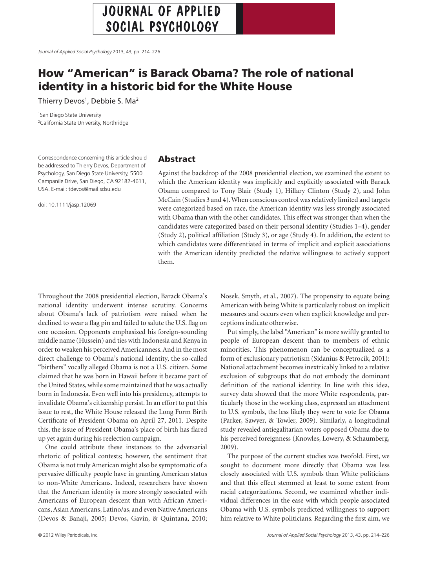# **JOURNAL OF APPLIED** SOCIAL PSYCHOLOGY

*Journal of Applied Social Psychology* 2013, 43, pp. 214–226

## **How "American" is Barack Obama? The role of national identity in a historic bid for the White House**

Thierry Devos<sup>1</sup>, Debbie S. Ma<sup>2</sup>

1 San Diego State University 2 California State University, Northridge

Correspondence concerning this article should be addressed to Thierry Devos, Department of Psychology, San Diego State University, 5500 Campanile Drive, San Diego, CA 92182-4611, USA. E-mail: tdevos@mail.sdsu.edu

doi: 10.1111/jasp.12069

### **Abstract**

Against the backdrop of the 2008 presidential election, we examined the extent to which the American identity was implicitly and explicitly associated with Barack Obama compared to Tony Blair (Study 1), Hillary Clinton (Study 2), and John McCain (Studies 3 and 4). When conscious control was relatively limited and targets were categorized based on race, the American identity was less strongly associated with Obama than with the other candidates. This effect was stronger than when the candidates were categorized based on their personal identity (Studies 1–4), gender (Study 2), political affiliation (Study 3), or age (Study 4). In addition, the extent to which candidates were differentiated in terms of implicit and explicit associations with the American identity predicted the relative willingness to actively support them.

Throughout the 2008 presidential election, Barack Obama's national identity underwent intense scrutiny. Concerns about Obama's lack of patriotism were raised when he declined to wear a flag pin and failed to salute the U.S. flag on one occasion. Opponents emphasized his foreign-sounding middle name (Hussein) and ties with Indonesia and Kenya in order to weaken his perceived Americanness. And in the most direct challenge to Obama's national identity, the so-called "birthers" vocally alleged Obama is not a U.S. citizen. Some claimed that he was born in Hawaii before it became part of the United States, while some maintained that he was actually born in Indonesia. Even well into his presidency, attempts to invalidate Obama's citizenship persist. In an effort to put this issue to rest, the White House released the Long Form Birth Certificate of President Obama on April 27, 2011. Despite this, the issue of President Obama's place of birth has flared up yet again during his reelection campaign.

One could attribute these instances to the adversarial rhetoric of political contests; however, the sentiment that Obama is not truly American might also be symptomatic of a pervasive difficulty people have in granting American status to non-White Americans. Indeed, researchers have shown that the American identity is more strongly associated with Americans of European descent than with African Americans, Asian Americans, Latino/as, and even Native Americans (Devos & Banaji, 2005; Devos, Gavin, & Quintana, 2010; Nosek, Smyth, et al., 2007). The propensity to equate being American with being White is particularly robust on implicit measures and occurs even when explicit knowledge and perceptions indicate otherwise.

Put simply, the label "American" is more swiftly granted to people of European descent than to members of ethnic minorities. This phenomenon can be conceptualized as a form of exclusionary patriotism (Sidanius & Petrocik, 2001): National attachment becomes inextricably linked to a relative exclusion of subgroups that do not embody the dominant definition of the national identity. In line with this idea, survey data showed that the more White respondents, particularly those in the working class, expressed an attachment to U.S. symbols, the less likely they were to vote for Obama (Parker, Sawyer, & Towler, 2009). Similarly, a longitudinal study revealed antiegalitarian voters opposed Obama due to his perceived foreignness (Knowles, Lowery, & Schaumberg, 2009).

The purpose of the current studies was twofold. First, we sought to document more directly that Obama was less closely associated with U.S. symbols than White politicians and that this effect stemmed at least to some extent from racial categorizations. Second, we examined whether individual differences in the ease with which people associated Obama with U.S. symbols predicted willingness to support him relative to White politicians. Regarding the first aim, we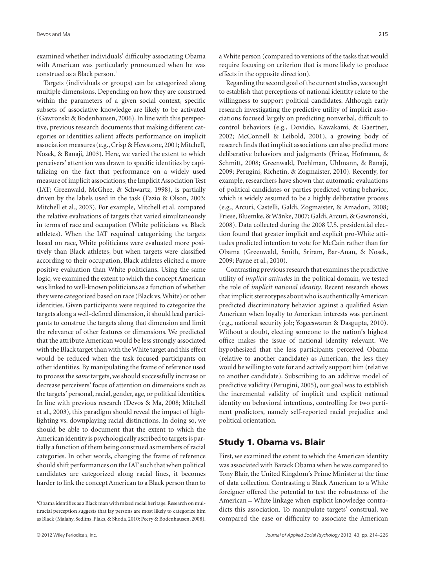examined whether individuals' difficulty associating Obama with American was particularly pronounced when he was construed as a Black person.<sup>1</sup>

Targets (individuals or groups) can be categorized along multiple dimensions. Depending on how they are construed within the parameters of a given social context, specific subsets of associative knowledge are likely to be activated (Gawronski & Bodenhausen, 2006). In line with this perspective, previous research documents that making different categories or identities salient affects performance on implicit association measures (e.g., Crisp & Hewstone, 2001; Mitchell, Nosek, & Banaji, 2003). Here, we varied the extent to which perceivers' attention was drawn to specific identities by capitalizing on the fact that performance on a widely used measure of implicit associations, the Implicit Association Test (IAT; Greenwald, McGhee, & Schwartz, 1998), is partially driven by the labels used in the task (Fazio & Olson, 2003; Mitchell et al., 2003). For example, Mitchell et al. compared the relative evaluations of targets that varied simultaneously in terms of race and occupation (White politicians vs. Black athletes). When the IAT required categorizing the targets based on race, White politicians were evaluated more positively than Black athletes, but when targets were classified according to their occupation, Black athletes elicited a more positive evaluation than White politicians. Using the same logic, we examined the extent to which the concept American was linked to well-known politicians as a function of whether they were categorized based on race (Black vs.White) or other identities. Given participants were required to categorize the targets along a well-defined dimension, it should lead participants to construe the targets along that dimension and limit the relevance of other features or dimensions. We predicted that the attribute American would be less strongly associated with the Black target than with the White target and this effect would be reduced when the task focused participants on other identities. By manipulating the frame of reference used to process the *same*targets, we should successfully increase or decrease perceivers' focus of attention on dimensions such as the targets' personal, racial, gender, age, or political identities. In line with previous research (Devos & Ma, 2008; Mitchell et al., 2003), this paradigm should reveal the impact of highlighting vs. downplaying racial distinctions. In doing so, we should be able to document that the extent to which the American identity is psychologically ascribed to targets is partially a function of them being construed as members of racial categories. In other words, changing the frame of reference should shift performances on the IAT such that when political candidates are categorized along racial lines, it becomes harder to link the concept American to a Black person than to

1 Obama identifies as a Black man with mixed racial heritage. Research on multiracial perception suggests that lay persons are most likely to categorize him as Black (Malahy, Sedlins, Plaks, & Shoda, 2010; Peery & Bodenhausen, 2008).

a White person (compared to versions of the tasks that would require focusing on criterion that is more likely to produce effects in the opposite direction).

Regarding the second goal of the current studies, we sought to establish that perceptions of national identity relate to the willingness to support political candidates. Although early research investigating the predictive utility of implicit associations focused largely on predicting nonverbal, difficult to control behaviors (e.g., Dovidio, Kawakami, & Gaertner, 2002; McConnell & Leibold, 2001), a growing body of research finds that implicit associations can also predict more deliberative behaviors and judgments (Friese, Hofmann, & Schmitt, 2008; Greenwald, Poehlman, Uhlmann, & Banaji, 2009; Perugini, Richetin, & Zogmaister, 2010). Recently, for example, researchers have shown that automatic evaluations of political candidates or parties predicted voting behavior, which is widely assumed to be a highly deliberative process (e.g., Arcuri, Castelli, Galdi, Zogmaister, & Amadori, 2008; Friese, Bluemke, & Wänke, 2007; Galdi, Arcuri, & Gawronski, 2008). Data collected during the 2008 U.S. presidential election found that greater implicit and explicit pro-White attitudes predicted intention to vote for McCain rather than for Obama (Greenwald, Smith, Sriram, Bar-Anan, & Nosek, 2009; Payne et al., 2010).

Contrasting previous research that examines the predictive utility of *implicit attitudes* in the political domain, we tested the role of *implicit national identity*. Recent research shows that implicit stereotypes about who is authentically American predicted discriminatory behavior against a qualified Asian American when loyalty to American interests was pertinent (e.g., national security job; Yogeeswaran & Dasgupta, 2010). Without a doubt, electing someone to the nation's highest office makes the issue of national identity relevant. We hypothesized that the less participants perceived Obama (relative to another candidate) as American, the less they would be willing to vote for and actively support him (relative to another candidate). Subscribing to an additive model of predictive validity (Perugini, 2005), our goal was to establish the incremental validity of implicit and explicit national identity on behavioral intentions, controlling for two pertinent predictors, namely self-reported racial prejudice and political orientation.

### **Study 1. Obama vs. Blair**

First, we examined the extent to which the American identity was associated with Barack Obama when he was compared to Tony Blair, the United Kingdom's Prime Minister at the time of data collection. Contrasting a Black American to a White foreigner offered the potential to test the robustness of the American = White linkage when explicit knowledge contradicts this association. To manipulate targets' construal, we compared the ease or difficulty to associate the American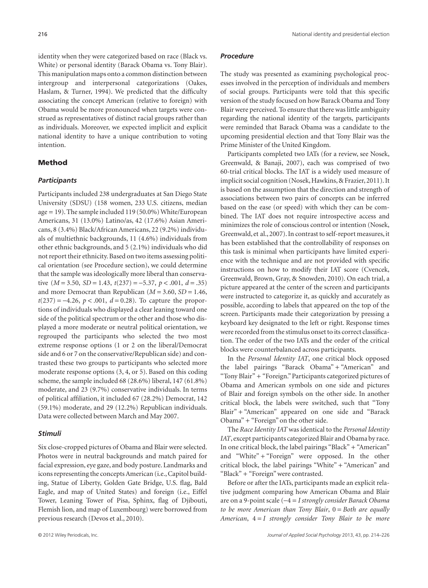identity when they were categorized based on race (Black vs. White) or personal identity (Barack Obama vs. Tony Blair). This manipulation maps onto a common distinction between intergroup and interpersonal categorizations (Oakes, Haslam, & Turner, 1994). We predicted that the difficulty associating the concept American (relative to foreign) with Obama would be more pronounced when targets were construed as representatives of distinct racial groups rather than as individuals. Moreover, we expected implicit and explicit national identity to have a unique contribution to voting intention.

### **Method**

### *Participants*

Participants included 238 undergraduates at San Diego State University (SDSU) (158 women, 233 U.S. citizens, median age = 19). The sample included 119 (50.0%) White/European Americans, 31 (13.0%) Latino/as, 42 (17.6%) Asian Americans, 8 (3.4%) Black/African Americans, 22 (9.2%) individuals of multiethnic backgrounds, 11 (4.6%) individuals from other ethnic backgrounds, and 5 (2.1%) individuals who did not report their ethnicity. Based on two items assessing political orientation (see Procedure section), we could determine that the sample was ideologically more liberal than conservative  $(M = 3.50, SD = 1.43, t(237) = -5.37, p < .001, d = .35)$ and more Democrat than Republican (*M* = 3.60, *SD* = 1.46,  $t(237) = -4.26$ ,  $p < .001$ ,  $d = 0.28$ ). To capture the proportions of individuals who displayed a clear leaning toward one side of the political spectrum or the other and those who displayed a more moderate or neutral political orientation, we regrouped the participants who selected the two most extreme response options (1 or 2 on the liberal/Democrat side and 6 or 7 on the conservative/Republican side) and contrasted these two groups to participants who selected more moderate response options (3, 4, or 5). Based on this coding scheme, the sample included 68 (28.6%) liberal, 147 (61.8%) moderate, and 23 (9.7%) conservative individuals. In terms of political affiliation, it included 67 (28.2%) Democrat, 142 (59.1%) moderate, and 29 (12.2%) Republican individuals. Data were collected between March and May 2007.

### *Stimuli*

Six close-cropped pictures of Obama and Blair were selected. Photos were in neutral backgrounds and match paired for facial expression, eye gaze, and body posture. Landmarks and icons representing the concepts American (i.e., Capitol building, Statue of Liberty, Golden Gate Bridge, U.S. flag, Bald Eagle, and map of United States) and foreign (i.e., Eiffel Tower, Leaning Tower of Pisa, Sphinx, flag of Djibouti, Flemish lion, and map of Luxembourg) were borrowed from previous research (Devos et al., 2010).

### *Procedure*

The study was presented as examining psychological processes involved in the perception of individuals and members of social groups. Participants were told that this specific version of the study focused on how Barack Obama and Tony Blair were perceived. To ensure that there was little ambiguity regarding the national identity of the targets, participants were reminded that Barack Obama was a candidate to the upcoming presidential election and that Tony Blair was the Prime Minister of the United Kingdom.

Participants completed two IATs (for a review, see Nosek, Greenwald, & Banaji, 2007), each was comprised of two 60-trial critical blocks. The IAT is a widely used measure of implicit social cognition (Nosek, Hawkins, & Frazier, 2011). It is based on the assumption that the direction and strength of associations between two pairs of concepts can be inferred based on the ease (or speed) with which they can be combined. The IAT does not require introspective access and minimizes the role of conscious control or intention (Nosek, Greenwald, et al., 2007). In contrast to self-report measures, it has been established that the controllability of responses on this task is minimal when participants have limited experience with the technique and are not provided with specific instructions on how to modify their IAT score (Cvencek, Greenwald, Brown, Gray, & Snowden, 2010). On each trial, a picture appeared at the center of the screen and participants were instructed to categorize it, as quickly and accurately as possible, according to labels that appeared on the top of the screen. Participants made their categorization by pressing a keyboard key designated to the left or right. Response times were recorded from the stimulus onset to its correct classification. The order of the two IATs and the order of the critical blocks were counterbalanced across participants.

In the *Personal Identity IAT*, one critical block opposed the label pairings "Barack Obama" + "American" and "Tony Blair" + "Foreign." Participants categorized pictures of Obama and American symbols on one side and pictures of Blair and foreign symbols on the other side. In another critical block, the labels were switched, such that "Tony Blair" + "American" appeared on one side and "Barack Obama" + "Foreign" on the other side.

The *Race Identity IAT* was identical to the *Personal Identity IAT*, except participants categorized Blair and Obama by race. In one critical block, the label pairings "Black" + "American" and "White" + "Foreign" were opposed. In the other critical block, the label pairings "White" + "American" and "Black" + "Foreign" were contrasted.

Before or after the IATs, participants made an explicit relative judgment comparing how American Obama and Blair are on a 9-point scale (-4 = *I strongly consider Barack Obama to be more American than Tony Blair*, 0 = *Both are equally American*, 4 = *I strongly consider Tony Blair to be more*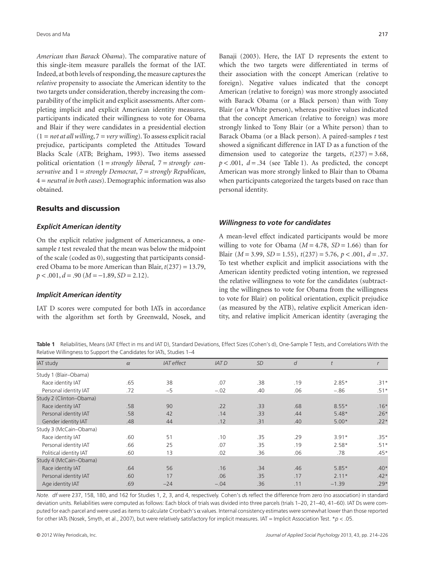*American than Barack Obama*). The comparative nature of this single-item measure parallels the format of the IAT. Indeed, at both levels of responding, the measure captures the *relative* propensity to associate the American identity to the two targets under consideration, thereby increasing the comparability of the implicit and explicit assessments. After completing implicit and explicit American identity measures, participants indicated their willingness to vote for Obama and Blair if they were candidates in a presidential election  $(1 = not at all willing, 7 = very willing)$ . To assess explicit racial prejudice, participants completed the Attitudes Toward Blacks Scale (ATB; Brigham, 1993). Two items assessed political orientation (1 = *strongly liberal*, 7 = *strongly conservative* and 1 = *strongly Democrat*, 7 = *strongly Republican*, 4 = *neutral in both cases*). Demographic information was also obtained.

### **Results and discussion**

#### *Explicit American identity*

On the explicit relative judgment of Americanness, a onesample *t* test revealed that the mean was below the midpoint of the scale (coded as 0), suggesting that participants considered Obama to be more American than Blair, *t*(237) = 13.79,  $p < .001, d = .90 (M = -1.89, SD = 2.12).$ 

#### *Implicit American identity*

IAT D scores were computed for both IATs in accordance with the algorithm set forth by Greenwald, Nosek, and Banaji (2003). Here, the IAT D represents the extent to which the two targets were differentiated in terms of their association with the concept American (relative to foreign). Negative values indicated that the concept American (relative to foreign) was more strongly associated with Barack Obama (or a Black person) than with Tony Blair (or a White person), whereas positive values indicated that the concept American (relative to foreign) was more strongly linked to Tony Blair (or a White person) than to Barack Obama (or a Black person). A paired-samples *t* test showed a significant difference in IAT D as a function of the dimension used to categorize the targets,  $t(237) = 3.68$ ,  $p < .001$ ,  $d = .34$  (see Table 1). As predicted, the concept American was more strongly linked to Blair than to Obama when participants categorized the targets based on race than personal identity.

#### *Willingness to vote for candidates*

A mean-level effect indicated participants would be more willing to vote for Obama ( $M = 4.78$ ,  $SD = 1.66$ ) than for Blair (*M* = 3.99, *SD* = 1.55), *t*(237) = 5.76, *p* < .001, *d* = .37. To test whether explicit and implicit associations with the American identity predicted voting intention, we regressed the relative willingness to vote for the candidates (subtracting the willingness to vote for Obama from the willingness to vote for Blair) on political orientation, explicit prejudice (as measured by the ATB), relative explicit American identity, and relative implicit American identity (averaging the

**Table 1** Reliabilities, Means (IAT Effect in ms and IAT D), Standard Deviations, Effect Sizes (Cohen's d), One-Sample T Tests, and Correlations With the Relative Willingness to Support the Candidates for IATs, Studies 1–4

| <b>IAT study</b>        | $\alpha$ | <b>IAT</b> effect | <b>IATD</b> | <b>SD</b> | d   |         |        |
|-------------------------|----------|-------------------|-------------|-----------|-----|---------|--------|
| Study 1 (Blair-Obama)   |          |                   |             |           |     |         |        |
| Race identity IAT       | .65      | 38                | .07         | .38       | .19 | $2.85*$ | $.31*$ |
| Personal identity IAT   | .72      | $-5$              | $-.02$      | .40       | .06 | $-.86$  | $.51*$ |
| Study 2 (Clinton-Obama) |          |                   |             |           |     |         |        |
| Race identity IAT       | .58      | 90                | .22         | .33       | .68 | $8.55*$ | $.16*$ |
| Personal identity IAT   | .58      | 42                | .14         | .33       | .44 | $5.48*$ | $.26*$ |
| Gender identity IAT     | .48      | 44                | .12         | .31       | .40 | $5.00*$ | $.22*$ |
| Study 3 (McCain-Obama)  |          |                   |             |           |     |         |        |
| Race identity IAT       | .60      | 51                | .10         | .35       | .29 | $3.91*$ | $.35*$ |
| Personal identity IAT   | .66      | 25                | .07         | .35       | .19 | $2.58*$ | $.51*$ |
| Political identity IAT  | .60      | 13                | .02         | .36       | .06 | .78     | $.45*$ |
| Study 4 (McCain-Obama)  |          |                   |             |           |     |         |        |
| Race identity IAT       | .64      | 56                | .16         | .34       | .46 | $5.85*$ | $.40*$ |
| Personal identity IAT   | .60      | 17                | .06         | .35       | .17 | $2.11*$ | $.42*$ |
| Age identity IAT        | .69      | $-24$             | $-.04$      | .36       | .11 | $-1.39$ | $.29*$ |
|                         |          |                   |             |           |     |         |        |

*Note. df* were 237, 158, 180, and 162 for Studies 1, 2, 3, and 4, respectively. Cohen's *d*s reflect the difference from zero (no association) in standard deviation units. Reliabilities were computed as follows: Each block of trials was divided into three parcels (trials 1–20, 21–40, 41–60). IAT Ds were computed for each parcel and were used as items to calculate Cronbach's a values. Internal consistency estimates were somewhat lower than those reported for other IATs (Nosek, Smyth, et al., 2007), but were relatively satisfactory for implicit measures. IAT = Implicit Association Test. \**p* < .05.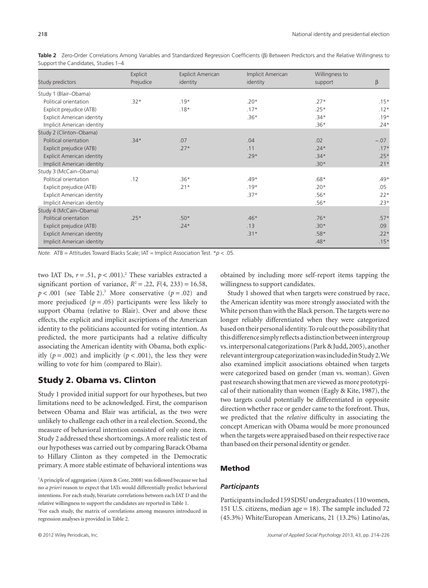| Study predictors                  | Explicit<br>Prejudice | <b>Explicit American</b><br>identity | Implicit American | Willingness to |        |  |
|-----------------------------------|-----------------------|--------------------------------------|-------------------|----------------|--------|--|
|                                   |                       |                                      | identity          | support        | β      |  |
| Study 1 (Blair-Obama)             |                       |                                      |                   |                |        |  |
| Political orientation             | $.32*$                | $.19*$                               | $.20*$            | $.27*$         | $.15*$ |  |
| Explicit prejudice (ATB)          |                       | $.18*$                               | $.17*$            | $.25*$         | $.12*$ |  |
| <b>Explicit American identity</b> |                       |                                      | $.36*$            | $.34*$         | $.19*$ |  |
| Implicit American identity        |                       |                                      |                   | $.36*$         | $.24*$ |  |
| Study 2 (Clinton-Obama)           |                       |                                      |                   |                |        |  |
| Political orientation             | $.34*$                | .07                                  | .04               | .02            | $-.07$ |  |
| Explicit prejudice (ATB)          |                       | $.27*$                               | .11               | $.24*$         | $.17*$ |  |
| <b>Explicit American identity</b> |                       |                                      | $.29*$            | $.34*$         | $.25*$ |  |
| Implicit American identity        |                       |                                      |                   | $.30*$         | $.21*$ |  |
| Study 3 (McCain-Obama)            |                       |                                      |                   |                |        |  |
| Political orientation             | .12                   | $.36*$                               | $.49*$            | $.68*$         | $.49*$ |  |
| Explicit prejudice (ATB)          |                       | $.21*$                               | $.19*$            | $.20*$         | .05    |  |
| Explicit American identity        |                       |                                      | $.37*$            | $.56*$         | $.22*$ |  |
| Implicit American identity        |                       |                                      |                   | $.56*$         | $.23*$ |  |
| Study 4 (McCain-Obama)            |                       |                                      |                   |                |        |  |
| Political orientation             | $.25*$                | $.50*$                               | $.46*$            | $.76*$         | $.57*$ |  |
| Explicit prejudice (ATB)          |                       | $.24*$                               | .13               | $.30*$         | .09    |  |
| <b>Explicit American identity</b> |                       |                                      | $.31*$            | $.58*$         | $.22*$ |  |
| Implicit American identity        |                       |                                      |                   | $.48*$         | $.15*$ |  |

Table 2 Zero-Order Correlations Among Variables and Standardized Regression Coefficients (B) Between Predictors and the Relative Willingness to Support the Candidates, Studies 1–4

*Note.* ATB = Attitudes Toward Blacks Scale; IAT = Implicit Association Test. \**p* < .05.

two IAT Ds,  $r = .51$ ,  $p < .001$ ).<sup>2</sup> These variables extracted a significant portion of variance,  $R^2 = .22$ ,  $F(4, 233) = 16.58$ ,  $p < .001$  (see Table 2).<sup>3</sup> More conservative ( $p = .02$ ) and more prejudiced  $(p=.05)$  participants were less likely to support Obama (relative to Blair). Over and above these effects, the explicit and implicit ascriptions of the American identity to the politicians accounted for voting intention. As predicted, the more participants had a relative difficulty associating the American identity with Obama, both explicitly  $(p = .002)$  and implicitly  $(p < .001)$ , the less they were willing to vote for him (compared to Blair).

### **Study 2. Obama vs. Clinton**

Study 1 provided initial support for our hypotheses, but two limitations need to be acknowledged. First, the comparison between Obama and Blair was artificial, as the two were unlikely to challenge each other in a real election. Second, the measure of behavioral intention consisted of only one item. Study 2 addressed these shortcomings. A more realistic test of our hypotheses was carried out by comparing Barack Obama to Hillary Clinton as they competed in the Democratic primary. A more stable estimate of behavioral intentions was

<sup>2</sup>A principle of aggregation (Ajzen & Cote, 2008) was followed because we had no *a priori* reason to expect that IATs would differentially predict behavioral intentions. For each study, bivariate correlations between each IAT D and the relative willingness to support the candidates are reported in Table 1. <sup>3</sup>For each study, the matrix of correlations among measures introduced in regression analyses is provided in Table 2.

obtained by including more self-report items tapping the willingness to support candidates.

Study 1 showed that when targets were construed by race, the American identity was more strongly associated with the White person than with the Black person. The targets were no longer reliably differentiated when they were categorized based on their personal identity.To rule out the possibility that this difference simply reflects a distinction between intergroup vs.interpersonal categorizations (Park & Judd,2005),another relevant intergroup categorization was included in Study 2. We also examined implicit associations obtained when targets were categorized based on gender (man vs. woman). Given past research showing that men are viewed as more prototypical of their nationality than women (Eagly & Kite, 1987), the two targets could potentially be differentiated in opposite direction whether race or gender came to the forefront. Thus, we predicted that the *relative* difficulty in associating the concept American with Obama would be more pronounced when the targets were appraised based on their respective race than based on their personal identity or gender.

### **Method**

### *Participants*

Participantsincluded159SDSUundergraduates(110women, 151 U.S. citizens, median age = 18). The sample included 72 (45.3%) White/European Americans, 21 (13.2%) Latino/as,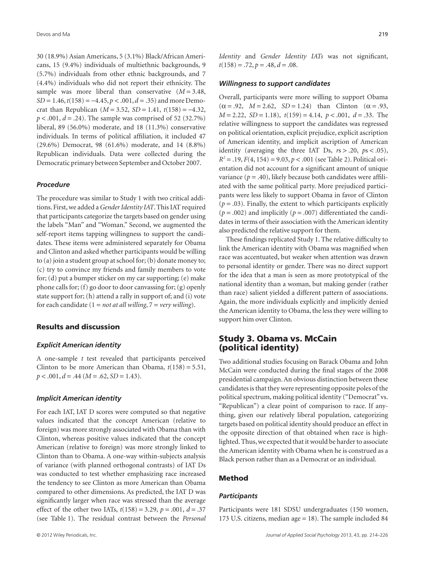30 (18.9%) Asian Americans, 5 (3.1%) Black/African Americans, 15 (9.4%) individuals of multiethnic backgrounds, 9 (5.7%) individuals from other ethnic backgrounds, and 7 (4.4%) individuals who did not report their ethnicity. The sample was more liberal than conservative  $(M = 3.48,$  $SD = 1.46$ ,  $t(158) = -4.45$ ,  $p < .001$ ,  $d = .35$ ) and more Democrat than Republican ( $M = 3.52$ ,  $SD = 1.41$ ,  $t(158) = -4.32$ , *p* < .001, *d* = .24). The sample was comprised of 52 (32.7%) liberal, 89 (56.0%) moderate, and 18 (11.3%) conservative individuals. In terms of political affiliation, it included 47 (29.6%) Democrat, 98 (61.6%) moderate, and 14 (8.8%) Republican individuals. Data were collected during the Democratic primary between September and October 2007.

### *Procedure*

The procedure was similar to Study 1 with two critical additions. First, we added a*Gender Identity IAT*. This IAT required that participants categorize the targets based on gender using the labels "Man" and "Woman." Second, we augmented the self-report items tapping willingness to support the candidates. These items were administered separately for Obama and Clinton and asked whether participants would be willing to (a) join a student group at school for; (b) donate money to; (c) try to convince my friends and family members to vote for; (d) put a bumper sticker on my car supporting; (e) make phone calls for; (f) go door to door canvassing for; (g) openly state support for; (h) attend a rally in support of; and (i) vote for each candidate (1 = *not at all willing*, 7 = *very willing*).

### **Results and discussion**

### *Explicit American identity*

A one-sample *t* test revealed that participants perceived Clinton to be more American than Obama,  $t(158) = 5.51$ ,  $p < .001, d = .44$  ( $M = .62, SD = 1.43$ ).

#### *Implicit American identity*

For each IAT, IAT D scores were computed so that negative values indicated that the concept American (relative to foreign) was more strongly associated with Obama than with Clinton, whereas positive values indicated that the concept American (relative to foreign) was more strongly linked to Clinton than to Obama. A one-way within-subjects analysis of variance (with planned orthogonal contrasts) of IAT Ds was conducted to test whether emphasizing race increased the tendency to see Clinton as more American than Obama compared to other dimensions. As predicted, the IAT D was significantly larger when race was stressed than the average effect of the other two IATs,  $t(158) = 3.29$ ,  $p = .001$ ,  $d = .37$ (see Table 1). The residual contrast between the *Personal* *Identity* and *Gender Identity IATs* was not significant,  $t(158) = .72, p = .48, d = .08.$ 

#### *Willingness to support candidates*

Overall, participants were more willing to support Obama  $(\alpha = .92, \quad M = 2.62, \quad SD = 1.24)$  than Clinton  $(\alpha = .93,$ *M* = 2.22, *SD* = 1.18), *t*(159) = 4.14, *p* < .001, *d* = .33. The relative willingness to support the candidates was regressed on political orientation, explicit prejudice, explicit ascription of American identity, and implicit ascription of American identity (averaging the three IAT Ds, *r*s > .20, *p*s < .05),  $R^2 = .19$ ,  $F(4, 154) = 9.03$ ,  $p < .001$  (see Table 2). Political orientation did not account for a significant amount of unique variance  $(p = .40)$ , likely because both candidates were affiliated with the same political party. More prejudiced participants were less likely to support Obama in favor of Clinton  $(p = .03)$ . Finally, the extent to which participants explicitly  $(p = .002)$  and implicitly  $(p = .007)$  differentiated the candidates in terms of their association with the American identity also predicted the relative support for them.

These findings replicated Study 1. The relative difficulty to link the American identity with Obama was magnified when race was accentuated, but weaker when attention was drawn to personal identity or gender. There was no direct support for the idea that a man is seen as more prototypical of the national identity than a woman, but making gender (rather than race) salient yielded a different pattern of associations. Again, the more individuals explicitly and implicitly denied the American identity to Obama, the less they were willing to support him over Clinton.

### **Study 3. Obama vs. McCain (political identity)**

Two additional studies focusing on Barack Obama and John McCain were conducted during the final stages of the 2008 presidential campaign. An obvious distinction between these candidates is that they were representing opposite poles of the political spectrum, making political identity ("Democrat" vs. "Republican") a clear point of comparison to race. If anything, given our relatively liberal population, categorizing targets based on political identity should produce an effect in the opposite direction of that obtained when race is highlighted. Thus, we expected that it would be harder to associate the American identity with Obama when he is construed as a Black person rather than as a Democrat or an individual.

### **Method**

#### *Participants*

Participants were 181 SDSU undergraduates (150 women, 173 U.S. citizens, median age = 18). The sample included 84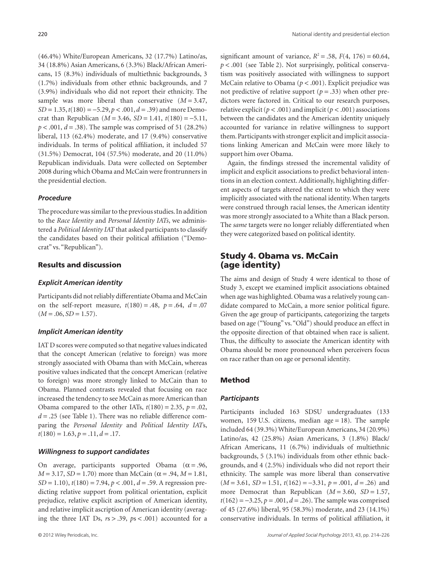(46.4%) White/European Americans, 32 (17.7%) Latino/as, 34 (18.8%) Asian Americans, 6 (3.3%) Black/African Americans, 15 (8.3%) individuals of multiethnic backgrounds, 3 (1.7%) individuals from other ethnic backgrounds, and 7 (3.9%) individuals who did not report their ethnicity. The sample was more liberal than conservative  $(M = 3.47)$ ,  $SD = 1.35, t(180) = -5.29, p < .001, d = .39$  and more Democrat than Republican ( $M = 3.46$ ,  $SD = 1.41$ ,  $t(180) = -5.11$ ,  $p < .001, d = .38$ ). The sample was comprised of 51 (28.2%) liberal, 113 (62.4%) moderate, and 17 (9.4%) conservative individuals. In terms of political affiliation, it included 57 (31.5%) Democrat, 104 (57.5%) moderate, and 20 (11.0%) Republican individuals. Data were collected on September 2008 during which Obama and McCain were frontrunners in the presidential election.

### *Procedure*

The procedure was similar to the previous studies. In addition to the *Race Identity* and *Personal Identity IATs*, we administered a *Political Identity IAT* that asked participants to classify the candidates based on their political affiliation ("Democrat" vs."Republican").

### **Results and discussion**

### *Explicit American identity*

Participants did not reliably differentiate Obama and McCain on the self-report measure,  $t(180) = .48$ ,  $p = .64$ ,  $d = .07$  $(M = .06, SD = 1.57).$ 

### *Implicit American identity*

IAT D scores were computed so that negative values indicated that the concept American (relative to foreign) was more strongly associated with Obama than with McCain, whereas positive values indicated that the concept American (relative to foreign) was more strongly linked to McCain than to Obama. Planned contrasts revealed that focusing on race increased the tendency to see McCain as more American than Obama compared to the other IATs,  $t(180) = 2.35$ ,  $p = .02$ , *d* = .25 (see Table 1). There was no reliable difference comparing the *Personal Identity* and *Political Identity IAT*s,  $t(180) = 1.63, p = .11, d = .17.$ 

#### *Willingness to support candidates*

On average, participants supported Obama  $(\alpha = .96, )$  $M = 3.17$ ,  $SD = 1.70$ ) more than McCain ( $\alpha = .94$ ,  $M = 1.81$ , *SD* = 1.10), *t*(180) = 7.94, *p* < .001, *d* = .59. A regression predicting relative support from political orientation, explicit prejudice, relative explicit ascription of American identity, and relative implicit ascription of American identity (averaging the three IAT Ds, *r*s > .39, *p*s < .001) accounted for a

significant amount of variance,  $R^2 = .58$ ,  $F(4, 176) = 60.64$ , *p* < .001 (see Table 2). Not surprisingly, political conservatism was positively associated with willingness to support McCain relative to Obama (*p* < .001). Explicit prejudice was not predictive of relative support  $(p=.33)$  when other predictors were factored in. Critical to our research purposes, relative explicit ( $p < .001$ ) and implicit ( $p < .001$ ) associations between the candidates and the American identity uniquely accounted for variance in relative willingness to support them. Participants with stronger explicit and implicit associations linking American and McCain were more likely to support him over Obama.

Again, the findings stressed the incremental validity of implicit and explicit associations to predict behavioral intentions in an election context. Additionally, highlighting different aspects of targets altered the extent to which they were implicitly associated with the national identity. When targets were construed through racial lenses, the American identity was more strongly associated to a White than a Black person. The *same* targets were no longer reliably differentiated when they were categorized based on political identity.

### **Study 4. Obama vs. McCain (age identity)**

The aims and design of Study 4 were identical to those of Study 3, except we examined implicit associations obtained when age was highlighted. Obama was a relatively young candidate compared to McCain, a more senior political figure. Given the age group of participants, categorizing the targets based on age ("Young" vs."Old") should produce an effect in the opposite direction of that obtained when race is salient. Thus, the difficulty to associate the American identity with Obama should be more pronounced when perceivers focus on race rather than on age or personal identity.

#### **Method**

### *Participants*

Participants included 163 SDSU undergraduates (133 women, 159 U.S. citizens, median age = 18). The sample included 64 (39.3%) White/European Americans, 34 (20.9%) Latino/as, 42 (25.8%) Asian Americans, 3 (1.8%) Black/ African Americans, 11 (6.7%) individuals of multiethnic backgrounds, 5 (3.1%) individuals from other ethnic backgrounds, and 4 (2.5%) individuals who did not report their ethnicity. The sample was more liberal than conservative  $(M = 3.61, SD = 1.51, t(162) = -3.31, p = .001, d = .26)$  and more Democrat than Republican  $(M = 3.60, SD = 1.57,$  $t(162) = -3.25, p = .001, d = .26$ . The sample was comprised of 45 (27.6%) liberal, 95 (58.3%) moderate, and 23 (14.1%) conservative individuals. In terms of political affiliation, it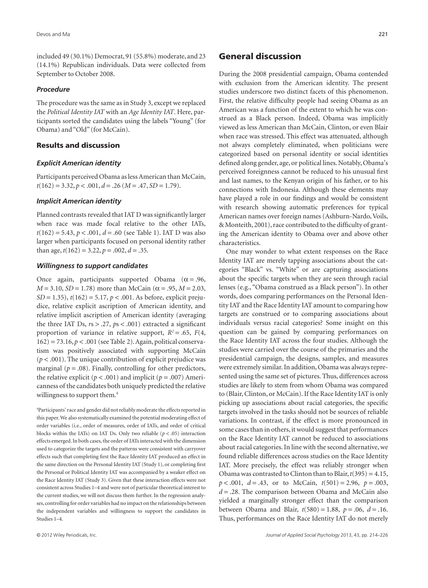included 49 (30.1%) Democrat, 91 (55.8%) moderate, and 23 (14.1%) Republican individuals. Data were collected from September to October 2008.

### *Procedure*

The procedure was the same as in Study 3, except we replaced the *Political Identity IAT* with an *Age Identity IAT*. Here, participants sorted the candidates using the labels "Young" (for Obama) and "Old" (for McCain).

### **Results and discussion**

### *Explicit American identity*

Participants perceived Obama as less American than McCain, *t*(162) = 3.32, *p* < .001, *d* = .26 (*M* = .47, *SD* = 1.79).

#### *Implicit American identity*

Planned contrasts revealed that IAT D was significantly larger when race was made focal relative to the other IATs, *t*(162) = 5.43, *p* < .001, *d* = .60 (see Table 1). IAT D was also larger when participants focused on personal identity rather than age,  $t(162) = 3.22$ ,  $p = .002$ ,  $d = .35$ .

#### *Willingness to support candidates*

Once again, participants supported Obama  $(\alpha = .96, )$  $M = 3.10, SD = 1.78$  more than McCain ( $\alpha = .95, M = 2.03$ , *SD* = 1.35), *t*(162) = 5.17, *p* < .001. As before, explicit prejudice, relative explicit ascription of American identity, and relative implicit ascription of American identity (averaging the three IAT Ds, *r*s > .27, *p*s < .001) extracted a significant proportion of variance in relative support,  $R^2 = .65$ ,  $F(4)$ , 162) = 73.16, *p* < .001 (see Table 2).Again, political conservatism was positively associated with supporting McCain (*p* < .001). The unique contribution of explicit prejudice was marginal ( $p = .08$ ). Finally, controlling for other predictors, the relative explicit ( $p < .001$ ) and implicit ( $p = .007$ ) Americanness of the candidates both uniquely predicted the relative willingness to support them.<sup>4</sup>

4 Participants' race and gender did not reliably moderate the effects reported in this paper. We also systematically examined the potential moderating effect of order variables (i.e., order of measures, order of IATs, and order of critical blocks within the IATs) on IAT Ds. Only two reliable  $(p < .05)$  interaction effects emerged. In both cases, the order of IATs interacted with the dimension used to categorize the targets and the patterns were consistent with carryover effects such that completing first the Race Identity IAT produced an effect in the same direction on the Personal Identity IAT (Study 1), or completing first the Personal or Political Identity IAT was accompanied by a weaker effect on the Race Identity IAT (Study 3). Given that these interaction effects were not consistent across Studies 1–4 and were not of particular theoretical interest to the current studies, we will not discuss them further. In the regression analyses, controlling for order variables had no impact on the relationships between the independent variables and willingness to support the candidates in Studies 1–4.

### **General discussion**

During the 2008 presidential campaign, Obama contended with exclusion from the American identity. The present studies underscore two distinct facets of this phenomenon. First, the relative difficulty people had seeing Obama as an American was a function of the extent to which he was construed as a Black person. Indeed, Obama was implicitly viewed as less American than McCain, Clinton, or even Blair when race was stressed. This effect was attenuated, although not always completely eliminated, when politicians were categorized based on personal identity or social identities defined along gender, age, or political lines. Notably, Obama's perceived foreignness cannot be reduced to his unusual first and last names, to the Kenyan origin of his father, or to his connections with Indonesia. Although these elements may have played a role in our findings and would be consistent with research showing automatic preferences for typical American names over foreign names (Ashburn-Nardo, Voils, & Monteith, 2001), race contributed to the difficulty of granting the American identity to Obama over and above other characteristics.

One may wonder to what extent responses on the Race Identity IAT are merely tapping associations about the categories "Black" vs. "White" or are capturing associations about the specific targets when they are seen through racial lenses (e.g., "Obama construed as a Black person"). In other words, does comparing performances on the Personal Identity IAT and the Race Identity IAT amount to comparing how targets are construed or to comparing associations about individuals versus racial categories? Some insight on this question can be gained by comparing performances on the Race Identity IAT across the four studies. Although the studies were carried over the course of the primaries and the presidential campaign, the designs, samples, and measures were extremely similar. In addition, Obama was always represented using the same set of pictures. Thus, differences across studies are likely to stem from whom Obama was compared to (Blair, Clinton, or McCain). If the Race Identity IAT is only picking up associations about racial categories, the specific targets involved in the tasks should not be sources of reliable variations. In contrast, if the effect is more pronounced in some cases than in others, it would suggest that performances on the Race Identity IAT cannot be reduced to associations about racial categories. In line with the second alternative, we found reliable differences across studies on the Race Identity IAT. More precisely, the effect was reliably stronger when Obama was contrasted to Clinton than to Blair,*t*(395) = 4.15, *p* < .001, *d* = .43, or to McCain, *t*(501) = 2.96, *p* = .003, *d* = .28. The comparison between Obama and McCain also yielded a marginally stronger effect than the comparison between Obama and Blair, *t*(580) = 1.88, *p* = .06, *d* = .16. Thus, performances on the Race Identity IAT do not merely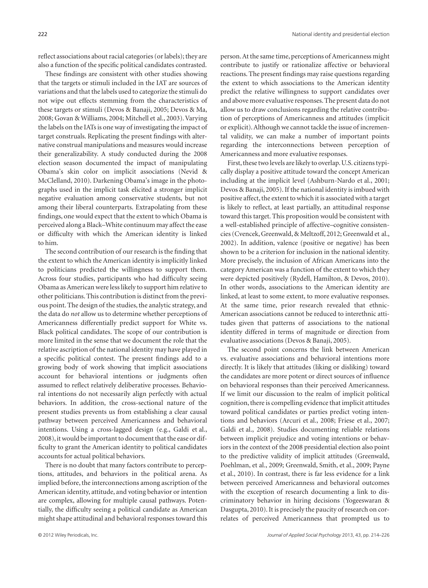reflect associations about racial categories (or labels); they are also a function of the specific political candidates contrasted.

These findings are consistent with other studies showing that the targets or stimuli included in the IAT are sources of variations and that the labels used to categorize the stimuli do not wipe out effects stemming from the characteristics of these targets or stimuli (Devos & Banaji, 2005; Devos & Ma, 2008; Govan & Williams, 2004; Mitchell et al., 2003). Varying the labels on the IATs is one way of investigating the impact of target construals. Replicating the present findings with alternative construal manipulations and measures would increase their generalizability. A study conducted during the 2008 election season documented the impact of manipulating Obama's skin color on implicit associations (Nevid & McClelland, 2010). Darkening Obama's image in the photographs used in the implicit task elicited a stronger implicit negative evaluation among conservative students, but not among their liberal counterparts. Extrapolating from these findings, one would expect that the extent to which Obama is perceived along a Black–White continuum may affect the ease or difficulty with which the American identity is linked to him.

The second contribution of our research is the finding that the extent to which the American identity is implicitly linked to politicians predicted the willingness to support them. Across four studies, participants who had difficulty seeing Obama as American were less likely to support him relative to other politicians. This contribution is distinct from the previous point. The design of the studies, the analytic strategy, and the data do *not* allow us to determine whether perceptions of Americanness differentially predict support for White vs. Black political candidates. The scope of our contribution is more limited in the sense that we document the role that the relative ascription of the national identity may have played in a specific political contest. The present findings add to a growing body of work showing that implicit associations account for behavioral intentions or judgments often assumed to reflect relatively deliberative processes. Behavioral intentions do not necessarily align perfectly with actual behaviors. In addition, the cross-sectional nature of the present studies prevents us from establishing a clear causal pathway between perceived Americanness and behavioral intentions. Using a cross-lagged design (e.g., Galdi et al., 2008), it would be important to document that the ease or difficulty to grant the American identity to political candidates accounts for actual political behaviors.

There is no doubt that many factors contribute to perceptions, attitudes, and behaviors in the political arena. As implied before, the interconnections among ascription of the American identity, attitude, and voting behavior or intention are complex, allowing for multiple causal pathways. Potentially, the difficulty seeing a political candidate as American might shape attitudinal and behavioral responses toward this

person. At the same time, perceptions of Americanness might contribute to justify or rationalize affective or behavioral reactions. The present findings may raise questions regarding the extent to which associations to the American identity predict the relative willingness to support candidates over and above more evaluative responses. The present data do not allow us to draw conclusions regarding the relative contribution of perceptions of Americanness and attitudes (implicit or explicit). Although we cannot tackle the issue of incremental validity, we can make a number of important points regarding the interconnections between perception of Americanness and more evaluative responses.

First, these two levels are likely to overlap. U.S. citizens typically display a positive attitude toward the concept American including at the implicit level (Ashburn-Nardo et al., 2001; Devos & Banaji, 2005). If the national identity is imbued with positive affect, the extent to which it is associated with a target is likely to reflect, at least partially, an attitudinal response toward this target. This proposition would be consistent with a well-established principle of affective–cognitive consistencies (Cvencek, Greenwald, & Meltzoff, 2012; Greenwald et al., 2002). In addition, valence (positive or negative) has been shown to be a criterion for inclusion in the national identity. More precisely, the inclusion of African Americans into the category American was a function of the extent to which they were depicted positively (Rydell, Hamilton, & Devos, 2010). In other words, associations to the American identity are linked, at least to some extent, to more evaluative responses. At the same time, prior research revealed that ethnic-American associations cannot be reduced to interethnic attitudes given that patterns of associations to the national identity differed in terms of magnitude or direction from evaluative associations (Devos & Banaji, 2005).

The second point concerns the link between American vs. evaluative associations and behavioral intentions more directly. It is likely that attitudes (liking or disliking) toward the candidates are more potent or direct sources of influence on behavioral responses than their perceived Americanness. If we limit our discussion to the realm of implicit political cognition, there is compelling evidence that implicit attitudes toward political candidates or parties predict voting intentions and behaviors (Arcuri et al., 2008; Friese et al., 2007; Galdi et al., 2008). Studies documenting reliable relations between implicit prejudice and voting intentions or behaviors in the context of the 2008 presidential election also point to the predictive validity of implicit attitudes (Greenwald, Poehlman, et al., 2009; Greenwald, Smith, et al., 2009; Payne et al., 2010). In contrast, there is far less evidence for a link between perceived Americanness and behavioral outcomes with the exception of research documenting a link to discriminatory behavior in hiring decisions (Yogeeswaran & Dasgupta, 2010). It is precisely the paucity of research on correlates of perceived Americanness that prompted us to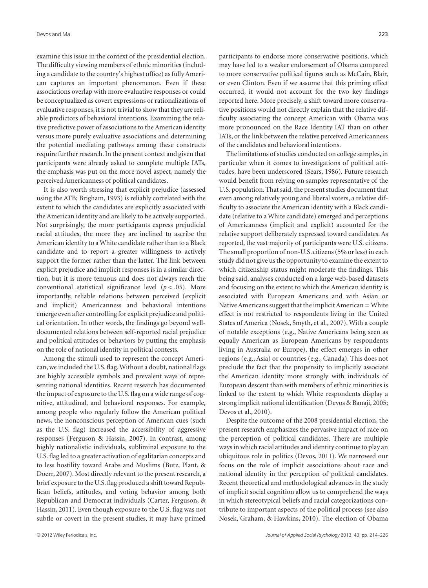examine this issue in the context of the presidential election. The difficulty viewing members of ethnic minorities (including a candidate to the country's highest office) as fully American captures an important phenomenon. Even if these associations overlap with more evaluative responses or could be conceptualized as covert expressions or rationalizations of evaluative responses, it is not trivial to show that they are reliable predictors of behavioral intentions. Examining the relative predictive power of associations to the American identity versus more purely evaluative associations and determining the potential mediating pathways among these constructs require further research. In the present context and given that participants were already asked to complete multiple IATs, the emphasis was put on the more novel aspect, namely the perceived Americanness of political candidates.

It is also worth stressing that explicit prejudice (assessed using the ATB; Brigham, 1993) is reliably correlated with the extent to which the candidates are explicitly associated with the American identity and are likely to be actively supported. Not surprisingly, the more participants express prejudicial racial attitudes, the more they are inclined to ascribe the American identity to a White candidate rather than to a Black candidate and to report a greater willingness to actively support the former rather than the latter. The link between explicit prejudice and implicit responses is in a similar direction, but it is more tenuous and does not always reach the conventional statistical significance level (*p* < .05). More importantly, reliable relations between perceived (explicit and implicit) Americanness and behavioral intentions emerge even after controlling for explicit prejudice and political orientation. In other words, the findings go beyond welldocumented relations between self-reported racial prejudice and political attitudes or behaviors by putting the emphasis on the role of national identity in political contests.

Among the stimuli used to represent the concept American, we included the U.S. flag. Without a doubt, national flags are highly accessible symbols and prevalent ways of representing national identities. Recent research has documented the impact of exposure to the U.S. flag on a wide range of cognitive, attitudinal, and behavioral responses. For example, among people who regularly follow the American political news, the nonconscious perception of American cues (such as the U.S. flag) increased the accessibility of aggressive responses (Ferguson & Hassin, 2007). In contrast, among highly nationalistic individuals, subliminal exposure to the U.S. flag led to a greater activation of egalitarian concepts and to less hostility toward Arabs and Muslims (Butz, Plant, & Doerr, 2007). Most directly relevant to the present research, a brief exposure to the U.S. flag produced a shift toward Republican beliefs, attitudes, and voting behavior among both Republican and Democrat individuals (Carter, Ferguson, & Hassin, 2011). Even though exposure to the U.S. flag was not subtle or covert in the present studies, it may have primed

participants to endorse more conservative positions, which may have led to a weaker endorsement of Obama compared to more conservative political figures such as McCain, Blair, or even Clinton. Even if we assume that this priming effect occurred, it would not account for the two key findings reported here. More precisely, a shift toward more conservative positions would not directly explain that the relative difficulty associating the concept American with Obama was more pronounced on the Race Identity IAT than on other IATs, or the link between the relative perceived Americanness of the candidates and behavioral intentions.

The limitations of studies conducted on college samples, in particular when it comes to investigations of political attitudes, have been underscored (Sears, 1986). Future research would benefit from relying on samples representative of the U.S. population. That said, the present studies document that even among relatively young and liberal voters, a relative difficulty to associate the American identity with a Black candidate (relative to a White candidate) emerged and perceptions of Americanness (implicit and explicit) accounted for the relative support deliberately expressed toward candidates. As reported, the vast majority of participants were U.S. citizens. The small proportion of non-U.S. citizens (5% or less) in each study did not give us the opportunity to examine the extent to which citizenship status might moderate the findings. This being said, analyses conducted on a large web-based datasets and focusing on the extent to which the American identity is associated with European Americans and with Asian or Native Americans suggest that the implicit American = White effect is not restricted to respondents living in the United States of America (Nosek, Smyth, et al., 2007). With a couple of notable exceptions (e.g., Native Americans being seen as equally American as European Americans by respondents living in Australia or Europe), the effect emerges in other regions (e.g., Asia) or countries (e.g., Canada). This does not preclude the fact that the propensity to implicitly associate the American identity more strongly with individuals of European descent than with members of ethnic minorities is linked to the extent to which White respondents display a strong implicit national identification (Devos & Banaji, 2005; Devos et al., 2010).

Despite the outcome of the 2008 presidential election, the present research emphasizes the pervasive impact of race on the perception of political candidates. There are multiple ways in which racial attitudes and identity continue to play an ubiquitous role in politics (Devos, 2011). We narrowed our focus on the role of implicit associations about race and national identity in the perception of political candidates. Recent theoretical and methodological advances in the study of implicit social cognition allow us to comprehend the ways in which stereotypical beliefs and racial categorizations contribute to important aspects of the political process (see also Nosek, Graham, & Hawkins, 2010). The election of Obama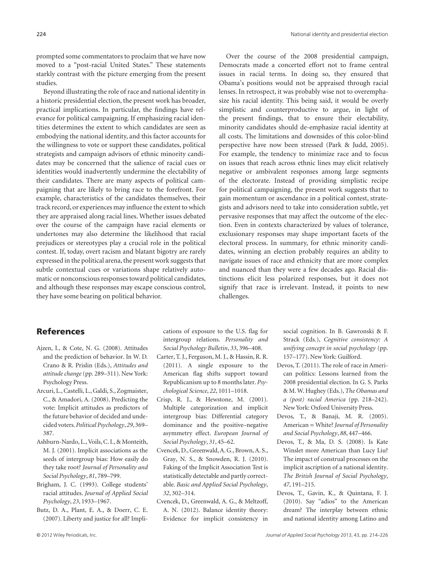prompted some commentators to proclaim that we have now moved to a "post-racial United States." These statements starkly contrast with the picture emerging from the present studies.

Beyond illustrating the role of race and national identity in a historic presidential election, the present work has broader, practical implications. In particular, the findings have relevance for political campaigning. If emphasizing racial identities determines the extent to which candidates are seen as embodying the national identity, and this factor accounts for the willingness to vote or support these candidates, political strategists and campaign advisors of ethnic minority candidates may be concerned that the salience of racial cues or identities would inadvertently undermine the electability of their candidates. There are many aspects of political campaigning that are likely to bring race to the forefront. For example, characteristics of the candidates themselves, their track record, or experiences may influence the extent to which they are appraised along racial lines. Whether issues debated over the course of the campaign have racial elements or undertones may also determine the likelihood that racial prejudices or stereotypes play a crucial role in the political contest. If, today, overt racism and blatant bigotry are rarely expressed in the political arena, the present work suggests that subtle contextual cues or variations shape relatively automatic or nonconscious responses toward political candidates, and although these responses may escape conscious control, they have some bearing on political behavior.

Over the course of the 2008 presidential campaign, Democrats made a concerted effort not to frame central issues in racial terms. In doing so, they ensured that Obama's positions would not be appraised through racial lenses. In retrospect, it was probably wise not to overemphasize his racial identity. This being said, it would be overly simplistic and counterproductive to argue, in light of the present findings, that to ensure their electability, minority candidates should de-emphasize racial identity at all costs. The limitations and downsides of this color-blind perspective have now been stressed (Park & Judd, 2005). For example, the tendency to minimize race and to focus on issues that reach across ethnic lines may elicit relatively negative or ambivalent responses among large segments of the electorate. Instead of providing simplistic recipe for political campaigning, the present work suggests that to gain momentum or ascendance in a political contest, strategists and advisors need to take into consideration subtle, yet pervasive responses that may affect the outcome of the election. Even in contexts characterized by values of tolerance, exclusionary responses may shape important facets of the electoral process. In summary, for ethnic minority candidates, winning an election probably requires an ability to navigate issues of race and ethnicity that are more complex and nuanced than they were a few decades ago. Racial distinctions elicit less polarized responses, but it does not signify that race is irrelevant. Instead, it points to new challenges.

### **References**

- Ajzen, I., & Cote, N. G. (2008). Attitudes and the prediction of behavior. In W. D. Crano & R. Prislin (Eds.), *Attitudes and attitude change* (pp. 289–311). New York: Psychology Press.
- Arcuri, L., Castelli, L., Galdi, S., Zogmaister, C., & Amadori, A. (2008). Predicting the vote: Implicit attitudes as predictors of the future behavior of decided and undecided voters.*Political Psychology*, *29*, 369– 387.
- Ashburn-Nardo, L., Voils, C. I., & Monteith, M. J. (2001). Implicit associations as the seeds of intergroup bias: How easily do they take root? *Journal of Personality and Social Psychology*, *81*, 789–799.
- Brigham, J. C. (1993). College students' racial attitudes. *Journal of Applied Social Psychology*, *23*, 1933–1967.
- Butz, D. A., Plant, E. A., & Doerr, C. E. (2007). Liberty and justice for all? Impli-

cations of exposure to the U.S. flag for intergroup relations. *Personality and Social Psychology Bulletin*, *33*, 396–408.

- Carter, T. J., Ferguson, M. J., & Hassin, R. R. (2011). A single exposure to the American flag shifts support toward Republicanism up to 8 months later. *Psychological Science*, *22*, 1011–1018.
- Crisp, R. J., & Hewstone, M. (2001). Multiple categorization and implicit intergroup bias: Differential category dominance and the positive–negative asymmetry effect. *European Journal of Social Psychology*, *31*, 45–62.
- Cvencek, D., Greenwald, A. G., Brown, A. S., Gray, N. S., & Snowden, R. J. (2010). Faking of the Implicit Association Test is statistically detectable and partly correctable. *Basic and Applied Social Psychology*, *32*, 302–314.
- Cvencek, D., Greenwald, A. G., & Meltzoff, A. N. (2012). Balance identity theory: Evidence for implicit consistency in

social cognition. In B. Gawronski & F. Strack (Eds.), *Cognitive consistency: A unifying concept in social psychology* (pp. 157–177). New York: Guilford.

- Devos, T. (2011). The role of race in American politics: Lessons learned from the 2008 presidential election. In G. S. Parks & M. W. Hughey (Eds.),*The Obamas and a (post) racial America* (pp. 218–242). New York: Oxford University Press.
- Devos, T., & Banaji, M. R. (2005). American = White? *Journal of Personality and Social Psychology*, *88*, 447–466.
- Devos, T., & Ma, D. S. (2008). Is Kate Winslet more American than Lucy Liu? The impact of construal processes on the implicit ascription of a national identity. *The British Journal of Social Psychology*, *47*, 191–215.
- Devos, T., Gavin, K., & Quintana, F. J. (2010). Say "adios" to the American dream? The interplay between ethnic and national identity among Latino and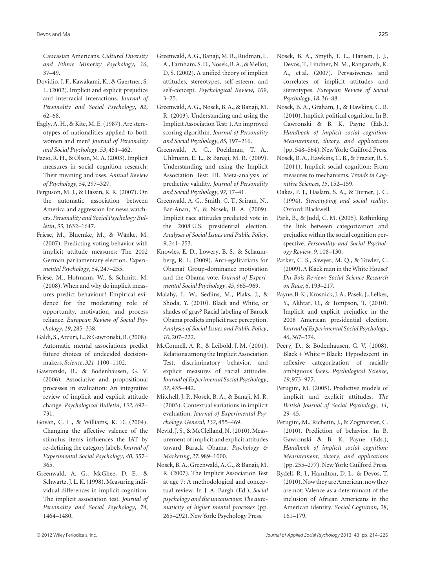Caucasian Americans. *Cultural Diversity and Ethnic Minority Psychology*, *16*, 37–49.

- Dovidio, J. F., Kawakami, K., & Gaertner, S. L. (2002). Implicit and explicit prejudice and interracial interactions. *Journal of Personality and Social Psychology*, *82*, 62–68.
- Eagly, A. H., & Kite, M. E. (1987). Are stereotypes of nationalities applied to both women and men? *Journal of Personality and Social Psychology*, *53*, 451–462.
- Fazio, R. H., & Olson, M. A. (2003). Implicit measures in social cognition research: Their meaning and uses. *Annual Review of Psychology*, *54*, 297–327.
- Ferguson, M. J., & Hassin, R. R. (2007). On the automatic association between America and aggression for news watchers.*Personality and Social Psychology Bulletin*, *33*, 1632–1647.
- Friese, M., Bluemke, M., & Wänke, M. (2007). Predicting voting behavior with implicit attitude measures: The 2002 German parliamentary election. *Experimental Psychology*, *54*, 247–255.
- Friese, M., Hofmann, W., & Schmitt, M. (2008). When and why do implicit measures predict behaviour? Empirical evidence for the moderating role of opportunity, motivation, and process reliance. *European Review of Social Psychology*, *19*, 285–338.
- Galdi, S., Arcuri, L., & Gawronski, B. (2008). Automatic mental associations predict future choices of undecided decisionmakers. *Science*, *321*, 1100–1102.
- Gawronski, B., & Bodenhausen, G. V. (2006). Associative and propositional processes in evaluation: An integrative review of implicit and explicit attitude change. *Psychological Bulletin*, *132*, 692– 731.
- Govan, C. L., & Williams, K. D. (2004). Changing the affective valence of the stimulus items influences the IAT by re-defining the category labels. *Journal of Experimental Social Psychology*, *40*, 357– 365.
- Greenwald, A. G., McGhee, D. E., & Schwartz, J. L. K. (1998). Measuring individual differences in implicit cognition: The implicit association test. *Journal of Personality and Social Psychology*, *74*, 1464–1480.
- Greenwald, A. G., Banaji, M. R., Rudman, L. A., Farnham, S. D., Nosek, B.A., & Mellot, D. S. (2002). A unified theory of implicit attitudes, stereotypes, self-esteem, and self-concept. *Psychological Review*, *109*, 3–25.
- Greenwald, A. G., Nosek, B. A., & Banaji, M. R. (2003). Understanding and using the Implicit Association Test: 1. An improved scoring algorithm. *Journal of Personality and Social Psychology*, *85*, 197–216.
- Greenwald, A. G., Poehlman, T. A., Uhlmann, E. L., & Banaji, M. R. (2009). Understanding and using the Implicit Association Test: III. Meta-analysis of predictive validity. *Journal of Personality and Social Psychology*, *97*, 17–41.
- Greenwald, A. G., Smith, C. T., Sriram, N., Bar-Anan, Y., & Nosek, B. A. (2009). Implicit race attitudes predicted vote in the 2008 U.S. presidential election. *Analyses of Social Issues and Public Policy*, *9*, 241–253.
- Knowles, E. D., Lowery, B. S., & Schaumberg, R. L. (2009). Anti-egalitarians for Obama? Group-dominance motivation and the Obama vote. *Journal of Experimental Social Psychology*, *45*, 965–969.
- Malahy, L. W., Sedlins, M., Plaks, J., & Shoda, Y. (2010). Black and White, or shades of gray? Racial labeling of Barack Obama predicts implicit race perception. *Analyses of Social Issues and Public Policy*, *10*, 207–222.
- McConnell, A. R., & Leibold, J. M. (2001). Relations among the Implicit Association Test, discriminatory behavior, and explicit measures of racial attitudes. *Journal of Experimental Social Psychology*, *37*, 435–442.
- Mitchell, J. P., Nosek, B. A., & Banaji, M. R. (2003). Contextual variations in implicit evaluation. *Journal of Experimental Psychology. General*, *132*, 455–469.
- Nevid, J. S., & McClelland, N. (2010). Measurement of implicit and explicit attitudes toward Barack Obama. *Psychology & Marketing*, *27*, 989–1000.
- Nosek, B. A., Greenwald, A. G., & Banaji, M. R. (2007). The Implicit Association Test at age 7: A methodological and conceptual review. In J. A. Bargh (Ed.), *Social psychology and the unconscious: The automaticity of higher mental processes* (pp. 265–292). New York: Psychology Press.
- Nosek, B. A., Smyth, F. L., Hansen, J. J., Devos, T., Lindner, N. M., Ranganath, K. A., et al. (2007). Pervasiveness and correlates of implicit attitudes and stereotypes. *European Review of Social Psychology*, *18*, 36–88.
- Nosek, B. A., Graham, J., & Hawkins, C. B. (2010). Implicit political cognition. In B. Gawronski & B. K. Payne (Eds.), *Handbook of implicit social cognition: Measurement, theory, and applications* (pp. 548–564). New York: Guilford Press.
- Nosek, B. A., Hawkins, C. B., & Frazier, R. S. (2011). Implicit social cognition: From measures to mechanisms. *Trends in Cognitive Sciences*, *15*, 152–159.
- Oakes, P. J., Haslam, S. A., & Turner, J. C. (1994). *Stereotyping and social reality*. Oxford: Blackwell.
- Park, B., & Judd, C. M. (2005). Rethinking the link between categorization and prejudice within the social cognition perspective. *Personality and Social Psychology Review*, *9*, 108–130.
- Parker, C. S., Sawyer, M. Q., & Towler, C. (2009). A Black man in the White House? *Du Bois Review: Social Science Research on Race*, *6*, 193–217.
- Payne, B. K., Krosnick, J. A., Pasek, J., Lelkes, Y., Akhtar, O., & Tompson, T. (2010). Implicit and explicit prejudice in the 2008 American presidential election. *Journal of Experimental Social Psychology*, *46*, 367–374.
- Peery, D., & Bodenhausen, G. V. (2008).  $Black + White = Black: Hypo descent in$ reflexive categorization of racially ambiguous faces. *Psychological Science*, *19*, 973–977.
- Perugini, M. (2005). Predictive models of implicit and explicit attitudes. *The British Journal of Social Psychology*, *44*, 29–45.
- Perugini, M., Richetin, J., & Zogmaister, C. (2010). Prediction of behavior. In B. Gawronski & B. K. Payne (Eds.), *Handbook of implicit social cognition: Measurement, theory, and applications* (pp. 255–277). New York: Guilford Press.
- Rydell, R. J., Hamilton, D. L., & Devos, T. (2010). Now they are American, now they are not: Valence as a determinant of the inclusion of African Americans in the American identity. *Social Cognition*, *28*, 161–179.